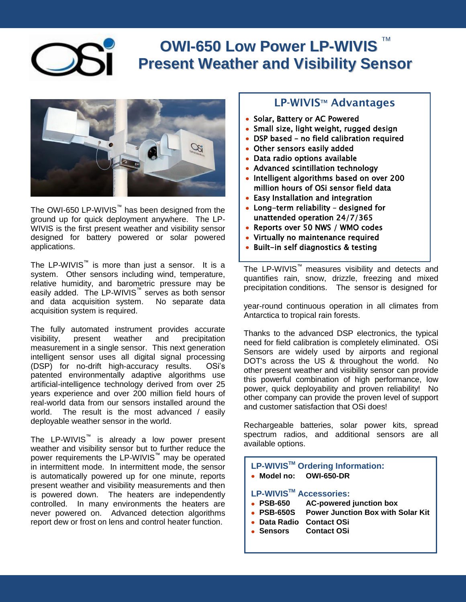### **OWI-650 Low Power LP-WIVIS** TM **Present Weather and Visibility Sensor**



The OWI-650 LP-WIVIS™ has been designed from the ground up for quick deployment anywhere. The LP-WIVIS is the first present weather and visibility sensor designed for battery powered or solar powered applications.

The LP-WIVIS<sup>™</sup> is more than just a sensor. It is a system. Other sensors including wind, temperature, relative humidity, and barometric pressure may be easily added. The LP-WIVIS™ serves as both sensor and data acquisition system. No separate data acquisition system is required.

The fully automated instrument provides accurate visibility, present weather and precipitation measurement in a single sensor. This next generation intelligent sensor uses all digital signal processing (DSP) for no-drift high-accuracy results. OSi's patented environmentally adaptive algorithms use artificial-intelligence technology derived from over 25 years experience and over 200 million field hours of real-world data from our sensors installed around the world. The result is the most advanced / easily deployable weather sensor in the world.

The LP-WIVIS™ is already a low power present weather and visibility sensor but to further reduce the power requirements the LP-WIVIS<sup>™</sup> may be operated in intermittent mode. In intermittent mode, the sensor is automatically powered up for one minute, reports present weather and visibility measurements and then is powered down. The heaters are independently controlled. In many environments the heaters are never powered on. Advanced detection algorithms report dew or frost on lens and control heater function.

## **LP-WIVISTM Advantages**

- Solar, Battery or AC Powered
- Small size, light weight, rugged design
- DSP based no field calibration required
- Other sensors easily added
- Data radio options available
- Advanced scintillation technology
- Intelligent algorithms based on over 200 million hours of OSi sensor field data
- Easy Installation and integration
- Long-term reliability designed for  $\bullet$ unattended operation 24/7/365
- Reports over 50 NWS / WMO codes
- Virtually no maintenance required
- Built-in self diagnostics & testing

The LP-WIVIS™ measures visibility and detects and quantifies rain, snow, drizzle, freezing and mixed precipitation conditions. The sensor is designed for

year-round continuous operation in all climates from Antarctica to tropical rain forests.

Thanks to the advanced DSP electronics, the typical need for field calibration is completely eliminated. OSi Sensors are widely used by airports and regional DOT's across the US & throughout the world. No other present weather and visibility sensor can provide this powerful combination of high performance, low power, quick deployability and proven reliability! No other company can provide the proven level of support and customer satisfaction that OSi does!

Rechargeable batteries, solar power kits, spread spectrum radios, and additional sensors are all available options.

**LP-WIVISTM Ordering Information: Model no: OWI-650-DR**

#### **LP-WIVISTM Accessories:**

- **PSB-650 AC-powered junction box**
- **PSB-650S Power Junction Box with Solar Kit**
- **Data Radio Contact OSi**
- **Sensors Contact OSi**